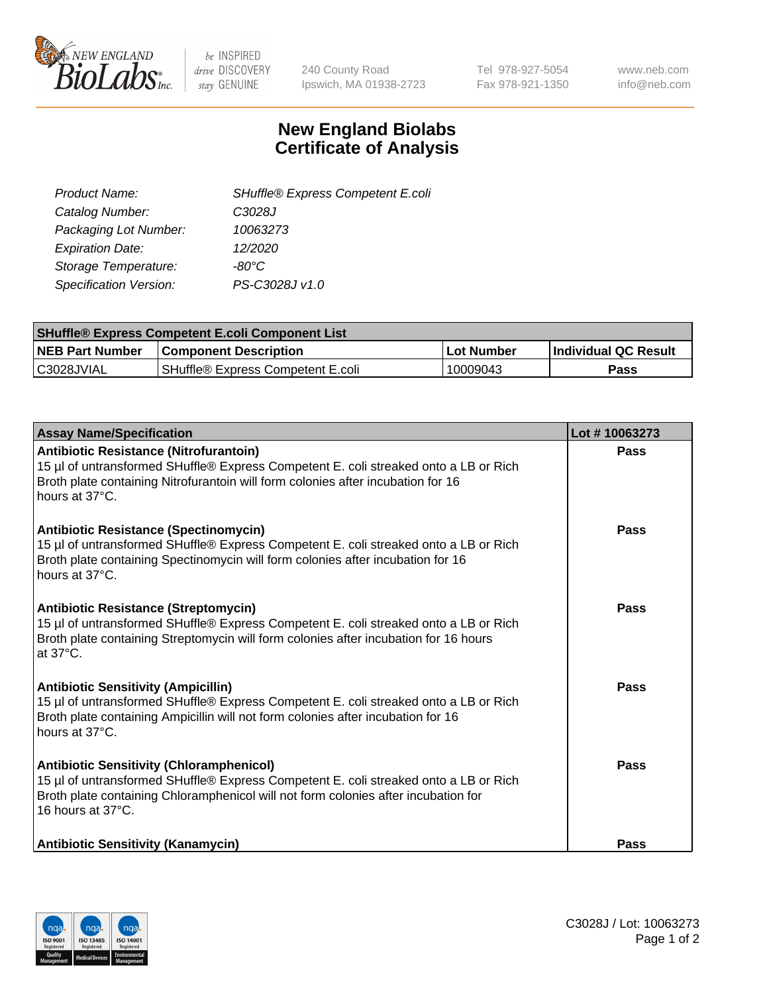

be INSPIRED drive DISCOVERY stay GENUINE

240 County Road Ipswich, MA 01938-2723 Tel 978-927-5054 Fax 978-921-1350 www.neb.com info@neb.com

## **New England Biolabs Certificate of Analysis**

| SHuffle® Express Competent E.coli |
|-----------------------------------|
| C3028J                            |
| 10063273                          |
| 12/2020                           |
| -80°C                             |
| PS-C3028J v1.0                    |
|                                   |

| <b>SHuffle® Express Competent E.coli Component List</b> |                                   |                   |                             |  |
|---------------------------------------------------------|-----------------------------------|-------------------|-----------------------------|--|
| <b>NEB Part Number</b>                                  | <b>Component Description</b>      | <b>Lot Number</b> | <b>Individual QC Result</b> |  |
| C3028JVIAL                                              | SHuffle® Express Competent E.coli | 10009043          | Pass                        |  |

| <b>Assay Name/Specification</b>                                                                                                                                                                                                                    | Lot #10063273 |
|----------------------------------------------------------------------------------------------------------------------------------------------------------------------------------------------------------------------------------------------------|---------------|
| Antibiotic Resistance (Nitrofurantoin)<br>15 µl of untransformed SHuffle® Express Competent E. coli streaked onto a LB or Rich<br>Broth plate containing Nitrofurantoin will form colonies after incubation for 16<br>hours at 37°C.               | Pass          |
| <b>Antibiotic Resistance (Spectinomycin)</b><br>15 µl of untransformed SHuffle® Express Competent E. coli streaked onto a LB or Rich<br>Broth plate containing Spectinomycin will form colonies after incubation for 16<br>hours at 37°C.          | Pass          |
| <b>Antibiotic Resistance (Streptomycin)</b><br>15 µl of untransformed SHuffle® Express Competent E. coli streaked onto a LB or Rich<br>Broth plate containing Streptomycin will form colonies after incubation for 16 hours<br>at 37°C.            | Pass          |
| <b>Antibiotic Sensitivity (Ampicillin)</b><br>15 µl of untransformed SHuffle® Express Competent E. coli streaked onto a LB or Rich<br>Broth plate containing Ampicillin will not form colonies after incubation for 16<br>hours at 37°C.           | Pass          |
| <b>Antibiotic Sensitivity (Chloramphenicol)</b><br>15 µl of untransformed SHuffle® Express Competent E. coli streaked onto a LB or Rich<br>Broth plate containing Chloramphenicol will not form colonies after incubation for<br>16 hours at 37°C. | Pass          |
| <b>Antibiotic Sensitivity (Kanamycin)</b>                                                                                                                                                                                                          | <b>Pass</b>   |